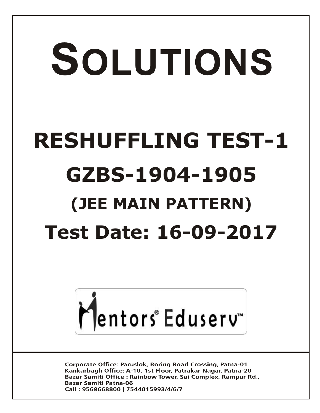# SOLUTIONS **RESHUFFLING TEST-1 GZBS-1904-1905 (JEE MAIN PATTERN) Test Date: 16-09-2017**



**Corporate Office: Paruslok, Boring Road Crossing, Patna-01** Kankarbagh Office: A-10, 1st Floor, Patrakar Nagar, Patna-20 Bazar Samiti Office: Rainbow Tower, Sai Complex, Rampur Rd., **Bazar Samiti Patna-06** Call: 9569668800 | 7544015993/4/6/7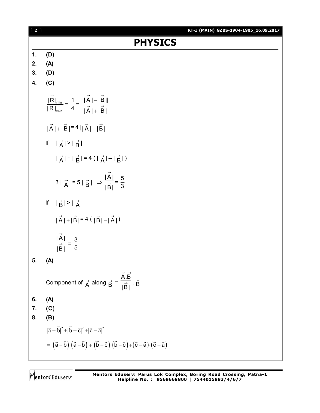| $[2]$      | RT-I (MAIN) GZBS-1904-1905_16.09.2017                                                                                                             |
|------------|---------------------------------------------------------------------------------------------------------------------------------------------------|
|            | <b>PHYSICS</b>                                                                                                                                    |
| $\ddagger$ | (D)                                                                                                                                               |
| 2.         | (A)                                                                                                                                               |
| 3.         | (D)                                                                                                                                               |
| 4.         | (C)                                                                                                                                               |
|            | $\frac{ \vec{R} _{\text{min}}}{ R _{\text{max}}} = \frac{1}{4} = \frac{  \vec{A}  -  \vec{B}  }{ \vec{A}  +  \vec{B} }$                           |
|            | $ \vec{A}  +  \vec{B}  = 4  \vec{A}  -  \vec{B} $                                                                                                 |
|            | If $ \vec{A}  >  \vec{B} $                                                                                                                        |
|            | $ \vec{A}  +  \vec{B}  = 4( \vec{A}  -  \vec{B} )$                                                                                                |
|            | $3 \vec{A}  = 5 \vec{B}  \Rightarrow \frac{ \vec{A} }{ \vec{B} } = \frac{5}{3}$                                                                   |
|            | If $ \vec{B}  >  \vec{A} $                                                                                                                        |
|            | $ \vec{A}  +  \vec{B}  = 4( \vec{B}  -  \vec{A} )$                                                                                                |
|            | $\frac{ \overrightarrow{A} }{ \overrightarrow{B} } = \frac{3}{5}$                                                                                 |
| 5.         | (A)                                                                                                                                               |
|            | Component of $\vec{A}$ along $\vec{B} = \frac{\vec{A} \cdot \vec{B}}{ \vec{B} } \cdot \hat{B}$                                                    |
| 6.         | (A)                                                                                                                                               |
| 7.         | (C)                                                                                                                                               |
| 8.         | (B)                                                                                                                                               |
|            | $ \vec{a}-\vec{b} ^2+ \vec{b}-\vec{c} ^2+ \vec{c}-\vec{a} ^2$                                                                                     |
|            | $= (\vec{a} - \vec{b}) \cdot (\vec{a} - \vec{b}) + (\vec{b} - \vec{c}) \cdot (\vec{b} - \vec{c}) + (\vec{c} - \vec{a}) \cdot (\vec{c} - \vec{a})$ |
|            |                                                                                                                                                   |

Mentors<sup>®</sup> Eduserv<sup>®</sup>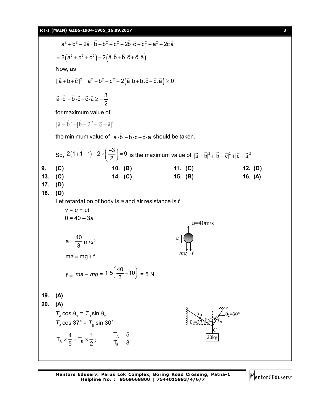

Mentors Eduserv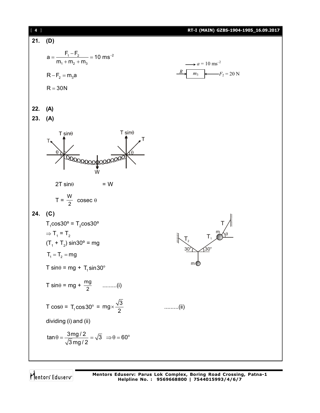

Mentors Eduserv

**Mentors Eduserv: Parus Lok Complex, Boring Road Crossing, Patna-1 Helpline No. : 9569668800 | 7544015993/4/6/7**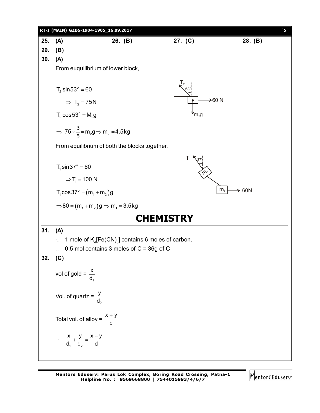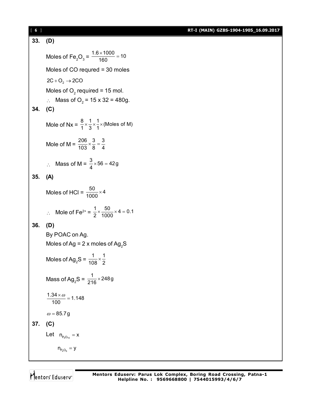[ **6** ] **RT-I (MAIN) GZBS-1904-1905\_16.09.2017**

**33. (D)** Moles of Fe<sub>2</sub>O<sub>3</sub> =  $\frac{1.6 \times 1000}{160}$  = 10  $\frac{\times 1000}{122}$  = Moles of CO requred = 30 moles  $2C + O<sub>2</sub> \rightarrow 2CO$ Moles of  $\textsf{O}_2$  required = 15 mol. ∴ Mass of O<sub>2</sub> = 15 x 32 = 480g. **34. (C)** Mole of Nx =  $\frac{8}{1} \times \frac{1}{3} \times \frac{1}{1} \times$  (Moles of M) Mole of M =  $\frac{206}{103} \times \frac{3}{8} = \frac{3}{4}$  $\therefore$  Mass of M =  $\frac{3}{4} \times 56 = 42g$ **35. (A)** Moles of HCl =  $\frac{50}{1000} \times 4$ ∴ Mole of Fe<sup>2+</sup> =  $\frac{1}{2} \times \frac{50}{1000} \times 4 = 0.1$ **36. (D)** By POAC on Ag. Moles of Ag =  $2 \times$  moles of Ag<sub>2</sub>S Moles of Ag<sub>2</sub>S =  $\frac{1}{108} \times \frac{1}{2}$ Mass of Ag<sub>2</sub>S =  $\frac{1}{216}$  × 248g  $\frac{1.34 \times \omega}{100} = 1.148$  $\frac{\times \omega}{\omega}$  =  $\omega = 85.7g$ **37. (C)** Let  $n_{P_4O_{10}} = x$  $n_{P_4O_6} = y$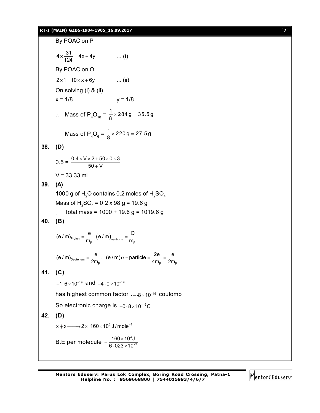#### **RT-I (MAIN) GZBS-1904-1905\_16.09.2017** [ **7** ]

By POAC on P  $4 \times \frac{31}{124} = 4x + 4y$  ... (i) By POAC on O  $2 \times 1 = 10 \times x + 6y$  ... (ii) On solving (i) & (ii)  $x = 1/8$   $y = 1/8$ ∴ Mass of P<sub>4</sub>O<sub>10</sub> =  $\frac{1}{8}$  × 284 g = 35.5 g ∴ Mass of P<sub>4</sub>O<sub>6</sub> =  $\frac{1}{8}$  × 220 g = 27.5 g **38. (D)**  $0.5 = \frac{0.4 \times V \times 2 + 50 \times 0 \times 3}{50 + V}$  $\times$  V  $\times$  2 + 50  $\times$  0  $\times$  3  $^{+}$  $V = 33.33$  ml **39. (A)** 1000 g of H<sub>2</sub>O contains 0.2 moles of H<sub>2</sub>SO<sub>4</sub> Mass of  $H_2SO_4 = 0.2 \times 98 \text{ g} = 19.6 \text{ g}$  $\therefore$  Total mass = 1000 + 19.6 g = 1019.6 g **40. (B)**  $P_{\text{proton}} = \frac{P}{m_{\text{p}}}, (e/m)_{\text{neutrons}} = \frac{P}{m_{\text{p}}}$  $(e / m)_{Proton} = \frac{e}{m_{\rm p}}$ ,  $(e / m)_{\rm neutrons} = \frac{O}{m_{\rm p}}$  $D$ euterium  $2m_{\rm p}$ , (c, iii)  $\alpha$  particle  $-$  4m<sub>p</sub>  $2m_{\rm p}$ (e / m)<sub>Deuterium</sub> =  $\frac{e}{2m_{\rm p}}$ , (e / m)  $\alpha$  - particle =  $\frac{2e}{4m_{\rm p}}$  =  $\frac{e}{2m}$ **41. (C)**  $-1.6\times10^{-19}$  and  $-4.0\times10^{-19}$ has highest common factor  $_{\cdot - \cdot 8 \times 10^{-19}}$  coulomb So electronic charge is  $-0.8 \times 10^{-19}$ C **42. (D)**  ${\mathsf x}$   $\!+\!{\mathsf x} {\longrightarrow} 2{\times}$  160 ${\times}$ 10 $^3$  J / mole $^{-1}$ B.E per molecule =  $\frac{160 \times 10^3}{6,000,40^5}$ 23  $160\times 10^3$  J  $6.023\times 10$  $=\frac{160\times10}{6\cdot023\times1}$ 

Mentors Eduserv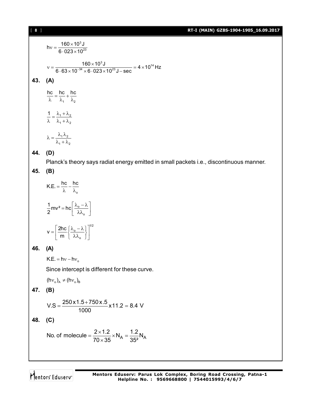#### [ **8** ] **RT-I (MAIN) GZBS-1904-1905\_16.09.2017**

$$
hv = \frac{160 \times 10^3 \text{ J}}{6.023 \times 10^{23}}
$$
  
160 × 10<sup>3</sup> J

$$
v = \frac{160 \times 10^{3} \text{ J}}{6.63 \times 10^{-34} \times 6.023 \times 10^{23} \text{ J} - \text{sec}} = 4 \times 10^{14} \text{ Hz}
$$

# **43. (A)**

1  $^{10}$  $\frac{hc}{\lambda} = \frac{hc}{\lambda_1} + \frac{hc}{\lambda_2}$  $1 + \frac{1}{2}$ 1  $\frac{1}{2}$  $\frac{1}{\lambda} = \frac{\lambda_1 + \lambda_2}{\lambda_1 + \lambda_2}$  $1''2$  $\lambda = \frac{\lambda_1 \lambda_2}{\lambda_1 + \lambda_2}$ 

 $1 + \frac{1}{2}$ 

### **44. (D)**

Planck's theory says radiat energy emitted in small packets i.e., discontinuous manner.

## **45. (B)**

$$
K.E. = \frac{hc}{\lambda} - \frac{hc}{\lambda_o}
$$

$$
\frac{1}{2}mv^2 = hc\left[\frac{\lambda_o - \lambda}{\lambda \lambda_o}\right]
$$

$$
V = \left[\frac{2hc}{m}\left\{\frac{\lambda_o - \lambda}{\lambda \lambda_o}\right\}\right]^{1/2}
$$

# **46. (A)**

 $K.E. = hv - hv_0$ 

Since intercept is different for these curve.

 $(hv_{o})_{A} \neq (hv_{o})_{B}$ 

# **47. (B)**

$$
V.S = \frac{250 \times 1.5 + 750 \times .5}{1000} \times 11.2 = 8.4 \text{ V}
$$

# **48. (C)**

No. of molecule = 
$$
\frac{2 \times 1.2}{70 \times 35} \times N_A = \frac{1.2}{35^2} N_A
$$

Mentors<sup>e</sup> Eduserv<sup>-</sup>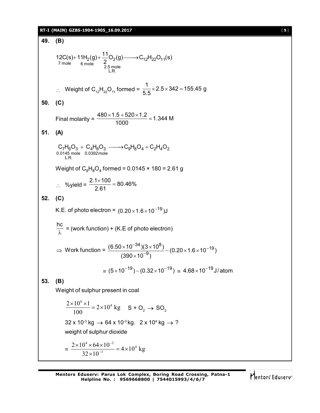# **RT-I (MAIN) GZBS-1904-1905\_16.09.2017** [ **9** ]

49. **(B)**  
\n12C(s)+11H<sub>2</sub>(g)+
$$
\frac{11}{2}
$$
O<sub>2</sub>(g)— $\rightarrow$ C<sub>12</sub>H<sub>22</sub>O<sub>11</sub>(s)  
\n7 mole 6 mole  
\n6 mole 2.5 mole  
\n1. R.  
\n∴ Weight of C<sub>12</sub>H<sub>22</sub>O<sub>11</sub> formed =  $\frac{1}{5.5}$ ×2.5×342=155.45 g  
\n50. **(C)**  
\nFinal molarity =  $\frac{480 \times 1.5 + 520 \times 1.2}{1000}$  = 1.344 M  
\n51. **(A)**  
\nC<sub>7</sub>H<sub>6</sub>O<sub>3</sub> + C<sub>4</sub>H<sub>6</sub>O<sub>3</sub>— $\rightarrow$ C<sub>9</sub>H<sub>8</sub>O<sub>4</sub> + C<sub>2</sub>H<sub>4</sub>O<sub>2</sub>  
\n0.0145 mole 0.0392mole  
\nWeight of C<sub>9</sub>H<sub>8</sub>O<sub>4</sub> formed = 0.0145 × 180 = 2.61 g  
\n∴ %yield =  $\frac{2.1 \times 100}{2.61}$  = 80.46%  
\n52. **(C)**  
\nK.E. of photo electron = (0.20×1.6×10<sup>-19</sup>)J  
\n $\frac{hc}{\lambda}$  = (work function) + (K.E of photo electron)  
\n⇒ Work function =  $\frac{(6.50 \times 10^{-34})(3 \times 10^8)}{(390 \times 10^{-9})}$  - (0.20×1.6×10<sup>-19</sup>)  
\n= (5×10<sup>-19</sup>) - (0.32×10<sup>-19</sup>) = 4.68×10<sup>-19</sup>J/atom  
\n  
\n53. **(B)**  
\nWeight of sulphur present in coal  
\n $\frac{2 \times 10^4 \times 4}{100}$  = 2×10<sup>4</sup> kg S + O<sub>2</sub> → SO<sub>2</sub>  
\n32 x 10<sup>-3</sup> kg → 64 x 10<sup>-3</sup>

 $32 \times 10^{-3}$ 

Mentors<sup>e</sup> Eduserv<sup>-</sup>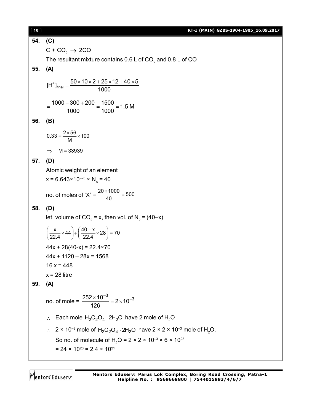[ **10** ] **RT-I (MAIN) GZBS-1904-1905\_16.09.2017 54. (C)**  $C$  + CO<sub>2</sub>  $\rightarrow$  2CO The resultant mixture contains 0.6 L of CO $_{\textrm{\tiny{2}}}$  and 0.8 L of CO **55. (A)**  $[H^+]_{\text{final}} = \frac{50 \times 10 \times 2 + 25 \times 12 + 40 \times 5}{1000}$ 1000  $\sigma^*$ ]<sub>final</sub> =  $\frac{50 \times 10 \times 2 + 25 \times 12 + 40 \times 5}{1000}$  $\frac{1000 + 300 + 200}{1000} = \frac{1500}{1000} = 1.5 M$ 1000 1000  $=\frac{1000+300+200}{1000}=\frac{1500}{1000}=1$ **56. (B)**  $0.33 = \frac{2 \times 56}{M} \times 100$  $=\frac{2\times56}{11}\times1$  $\implies$  M = 33939 **57. (D)** Atomic weight of an element  $x = 6.643 \times 10^{-23} \times N_A = 40$ no. of moles of 'X' =  $\frac{20 \times 1000}{40}$  = 500  $=\frac{20\times1000}{10}=5$ **58. (D)** let, volume of CO $_{2}$  = x, then vol. of N $_{2}$  = (40–x)  $\frac{x}{22.4}$  × 44 } +  $\left(\frac{40-x}{22.4}$  × 28 } = 70  $\left(\frac{\mathsf{x}}{22.4}\times44\right) + \left(\frac{40 - \mathsf{x}}{22.4}\times28\right) = 7$  $44x + 28(40-x) = 22.4 \times 70$  $44x + 1120 - 28x = 1568$  $16 x = 448$  $x = 28$  litre **59. (A)** no. of mole =  $\frac{252 \times 10^{-3}}{100} = 2 \times 10^{-3}$ 126  $\frac{\times 10^{-3}}{22}$  = 2  $\times 10^{-7}$  $\therefore$  Each mole H<sub>2</sub>C<sub>2</sub>O<sub>4</sub> · 2H<sub>2</sub>O have 2 mole of H<sub>2</sub>O  $\therefore$  2 × 10<sup>-3</sup> mole of H<sub>2</sub>C<sub>2</sub>O<sub>4</sub> · 2H<sub>2</sub>O have 2 × 2 × 10<sup>-3</sup> mole of H<sub>2</sub>O. So no. of molecule of H<sub>2</sub>O =  $2 \times 2 \times 10^{-3} \times 6 \times 10^{23}$  $= 24 \times 10^{20} = 2.4 \times 10^{21}$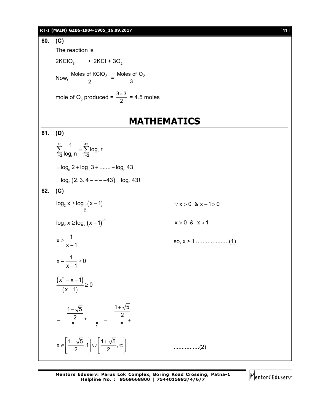#### **RT-I (MAIN) GZBS-1904-1905\_16.09.2017** [ **11** ]



Mentors Eduserv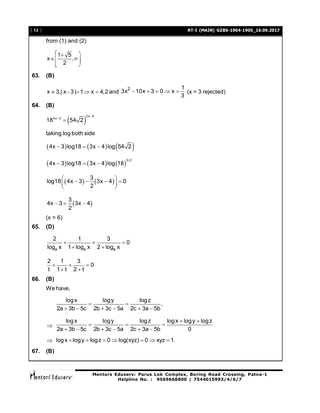[ **12** ] **RT-I (MAIN) GZBS-1904-1905\_16.09.2017**

from (1) and (2)  $x \in \left[\frac{1+\sqrt{5}}{2}, \infty\right]$ 2  $1+\sqrt{5}$  $\in \left[\frac{1+\sqrt{6}}{2},\infty\right]$ **63. (B)**  $x \ne 3, |x-3| = 1 \Rightarrow x = 4,2 \text{ and } 3x^2 - 10x + 3 = 0 \Rightarrow x = \frac{1}{2}$  $-10x+3=0 \Rightarrow x=\frac{1}{3}$  (x = 3 rejected) **64. (B)**  $18^{4x-3} = (54\sqrt{2})^{3x-4}$ taking log both side  $(4x-3)$ log18 =  $(3x-4)$ log $(54\sqrt{2})$  $(4x-3)$ log18 =  $(3x-4)$ log $(18)^{3/2}$  $(4x-3)-\frac{1}{2}(3x-4)$  $\log 18 \left( (4x-3) - \frac{3}{6}(3x-4) \right) = 0$ 2  $(4x-3)-\frac{3}{2}(3x-4)=0$  $(3x-4)$  $4x - 3 = \frac{3}{2}(3x - 4)$ 2  $-3=\frac{6}{2}(3x-4)$  $(x = 6)$ **65. (D)**  $a^{\lambda}$   $1 + \log_a \lambda$   $2 + \log_a$  $\frac{2}{1}$  +  $\frac{1}{1}$  +  $\frac{3}{2}$  = 0  $log_a x$  1 +  $log_a x$  2 +  $log_a x$  $+$   $+$   $=$   $($  $+ \log_a x$  2+1  $\frac{2}{1} + \frac{1}{1} + \frac{3}{2} = 0$ t 1+t 2+t  $+\frac{1}{4+1}+\frac{6}{8+1}=0$  $+t$  2+t **66. (B)** We have,  $\frac{\log x}{\log x} = \frac{\log y}{\log x} = \frac{\log z}{\log x}$  $2a + 3b - 5c$   $2b + 3c - 5a$   $2c + 3a - 5b$  $=\frac{109 \text{ J}}{21 \cdot 21 \cdot 5} =$  $+3b-5c$   $2b+3c-5a$   $2c+3a-5$  $\Rightarrow$ logx logy logz logx logy logz  $2a + 3b - 5c$   $2b + 3c - 5a$   $2c + 3a - 5b$  0  $=\frac{\log y}{\cos^2 y}=\frac{\log z}{\cos^2 y}=\frac{\log x+\log y+\log y}{\cos^2 y}$  $+3b-5c$   $2b+3c-5a$   $2c+3a-5$  $\Rightarrow$  log x + log y + log z = 0  $\Rightarrow$  log(xyz) = 0  $\Rightarrow$  xyz = 1. **67. (B)**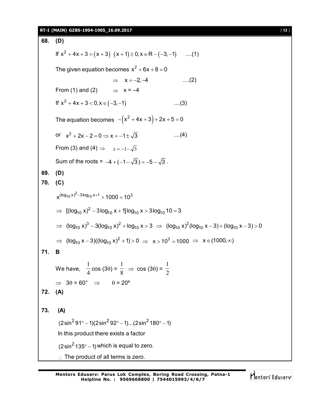#### **RT-I (MAIN) GZBS-1904-1905\_16.09.2017** [ **13** ]

**68. (D)** If  $x^2 + 4x + 3 = (x + 3)(x + 1) \ge 0, x \in \mathbb{R} - (-3, -1)$  ....(1) The given equation becomes  $x^2 + 6x + 8 = 0$  $\implies$   $x = -2, -4$  ....(2) From (1) and (2)  $\Rightarrow$   $x = -4$ If  $x^2 + 4x + 3 < 0, x \in (-3, -1)$  ....(3) The equation becomes  $-(x^2 + 4x + 3) + 2x + 5 = 0$ or  $x^2 + 2x - 2 = 0 \Rightarrow x = -1 \pm \sqrt{3}$  ....(4) From (3) and (4)  $\Rightarrow$   $x=-1-\sqrt{3}$ Sum of the roots =  $-4 + (-1 - \sqrt{3}) = -5 - \sqrt{3}$ . **69. (D) 70. (C)**  $x^{(\log_{10} x)^2 - 3\log_{10} x + 1}$   $>$  1000 = 10<sup>3</sup>  $\Rightarrow$  [(log<sub>10</sub> x)<sup>2</sup> - 3log<sub>10</sub> x + 1]log<sub>10</sub> x > 3log<sub>10</sub> 10 = 3 ⇒  $(log_{10} x)^3 - 3(log_{10} x)^2 + log_{10} x > 3$  ⇒  $(log_{10} x)^2 (log_{10} x - 3) + (log_{10} x - 3) > 0$ ⇒ (log<sub>10</sub> x – 3)((log<sub>10</sub> x)<sup>2</sup> + 1) > 0 ⇒ x > 10<sup>3</sup> = 1000 ⇒ x ∈ (1000, ∞) **71. B** We have,  $\frac{1}{4}$ 1  $cos(3\theta) = \frac{1}{8}$ 1  $\Rightarrow$  cos (3 $\theta$ ) =  $\frac{1}{2}$ 1  $\Rightarrow$  30 = 60°  $\Rightarrow$  0 = 20° **72. (A) 73. (A)**  $(2 \sin^2 91^\circ - 1)(2 \sin^2 92^\circ - 1)$ ... $(2 \sin^2 180^\circ - 1)$ In this product there exists a factor  $(2\sin^2 135^\circ - 1)$  which is equal to zero.  $\therefore$  The product of all terms is zero.

Mentors<sup>®</sup> Eduserv<sup>®</sup>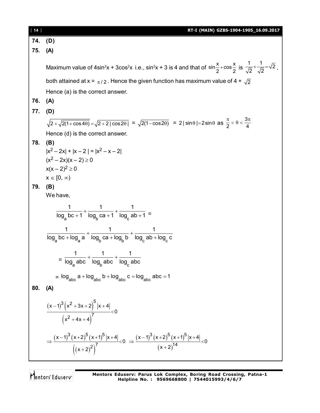| $[14]$ | RT-I (MAIN) GZBS-1904-1905_16.09.2017                                                                                                                                                                   |
|--------|---------------------------------------------------------------------------------------------------------------------------------------------------------------------------------------------------------|
| 74.    | (D)                                                                                                                                                                                                     |
| 75.    | (A)                                                                                                                                                                                                     |
|        |                                                                                                                                                                                                         |
|        | Maximum value of 4sin <sup>2</sup> x + 3cos <sup>2</sup> x i.e., sin <sup>2</sup> x + 3 is 4 and that of sin $\frac{x}{2}$ +cos $\frac{x}{2}$ is $\frac{1}{\sqrt{2}} + \frac{1}{\sqrt{2}} = \sqrt{2}$ , |
|        | both attained at x = $\pi/2$ . Hence the given function has maximum value of 4 + $\sqrt{2}$                                                                                                             |
|        | Hence (a) is the correct answer.                                                                                                                                                                        |
| 76.    | (A)                                                                                                                                                                                                     |
| 77.    | (D)                                                                                                                                                                                                     |
|        | $\sqrt{2+\sqrt{2(1+\cos 4\theta)}} = \sqrt{2+2 \cos 2\theta } = \sqrt{2(1-\cos 2\theta)} = 2 \sin \theta  = 2\sin \theta$ as $\frac{\pi}{2} < \theta < \frac{3\pi}{4}$                                  |
|        | Hence (d) is the correct answer.                                                                                                                                                                        |
| 78.    | (B)                                                                                                                                                                                                     |
|        | $ x^2-2x + x-2 = x^2-x-2 $                                                                                                                                                                              |
|        | $(x^2-2x)(x-2) \ge 0$                                                                                                                                                                                   |
|        | $x(x-2)^2 \ge 0$                                                                                                                                                                                        |
|        | $x \in [0, \infty)$                                                                                                                                                                                     |
| 79.    | (B)                                                                                                                                                                                                     |
|        | We have,                                                                                                                                                                                                |
|        | $\frac{1}{\log_{2} bc + 1} + \frac{1}{\log_{2} ca + 1} + \frac{1}{\log_{2} ab + 1} =$                                                                                                                   |
|        | $\frac{1}{\log_{2}bc + \log_{2}a} + \frac{1}{\log_{b}ca + \log_{b}b} + \frac{1}{\log_{c}ab + \log_{c}c}$                                                                                                |
|        |                                                                                                                                                                                                         |
|        | $=\frac{1}{\log_a abc}+\frac{1}{\log_b abc}+\frac{1}{\log_c abc}$                                                                                                                                       |
|        |                                                                                                                                                                                                         |
|        | = $log_{abc} a + log_{abc} b + log_{abc} c = log_{abc} abc = 1$                                                                                                                                         |
| 80.    | (A)                                                                                                                                                                                                     |
|        | $\frac{(x-1)^3 (x^2+3x+2)^5  x+4 }{(x^2+4x+4)^7} < 0$                                                                                                                                                   |
|        | $\Rightarrow \frac{(x-1)^3 (x+2)^5 (x+1)^5  x+4 }{((x+2)^2)} 0 \Rightarrow \frac{(x-1)^3 (x+2)^5 (x+1)^5  x+4 }{(x+2)^{14}} 0$                                                                          |

Mentors<sup>®</sup> Eduserv<sup>®</sup>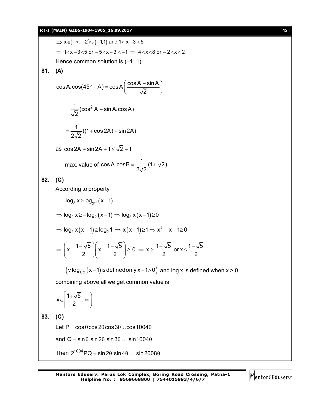#### **RT-I (MAIN) GZBS-1904-1905\_16.09.2017** [ **15** ]

$$
\Rightarrow x \in (-\infty, -2) \cup (-1, 1) \text{ and } 1 < |x-3| < 5
$$
  
\n⇒ 1 < x  $-3 < 5$  or  $-5 < x - 3 < -1$  ⇒ 4 < x < 8 or  $-2 < x < 2$   
\nHence common solution is  $(-1, 1)$   
\n81. (A)  
\n
$$
\cos A.\cos(45^\circ - A) = \cos A\left(\frac{\cos A + \sin A}{\sqrt{2}}\right)
$$
\n
$$
= \frac{1}{\sqrt{2}}(\cos^2 A + \sin A.\cos A)
$$
\n
$$
= \frac{1}{2\sqrt{2}}((1 + \cos 2A) + \sin 2A)
$$
\nas  $\cos 2A + \sin 2A + 1 \le \sqrt{2} + 1$   
\n $\therefore$  max. value of  $\cos A.\cos B = \frac{1}{2\sqrt{2}}(1 + \sqrt{2})$   
\n82. (C)  
\nAccording to property  
\n
$$
\log_2 x \ge \log_2 \cdot (x - 1)
$$
\n
$$
\Rightarrow \log_2 x \ge -\log_2 (x - 1) \Rightarrow \log_2 x (x - 1) \ge 0
$$
\n
$$
\Rightarrow \log_2 x (x - 1) \ge \log_2 1 \Rightarrow x (x - 1) \ge 1 \Rightarrow x^2 - x - 1 \ge 0
$$
\n
$$
\Rightarrow \left(x - \frac{1 - \sqrt{5}}{2}\right)\left(x - \frac{1 + \sqrt{5}}{2}\right) \ge 0 \Rightarrow x \ge \frac{1 + \sqrt{5}}{2} \text{ or } x \le \frac{1 - \sqrt{5}}{2}
$$
\n
$$
(\because \log_{1/2} (x - 1) \text{ is defined only } x - 1 > 0) \text{ and } \log x \text{ is defined when } x > 0
$$
\ncombining above all we get common value is  
\n
$$
x \in \left[\frac{1 + \sqrt{5}}{2}, \infty\right]
$$
\n83. (C)  
\nLet P = cos θ cos 2θ cos 3θ ... cos 1004θ  
\nand Q = sin 0 sin 20 sin 30 ... sin 10040  
\nThen 2<sup>1004</sup>PQ = sin 2θ sin 4θ ... sin 2008θ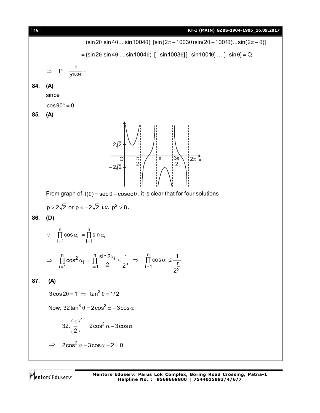